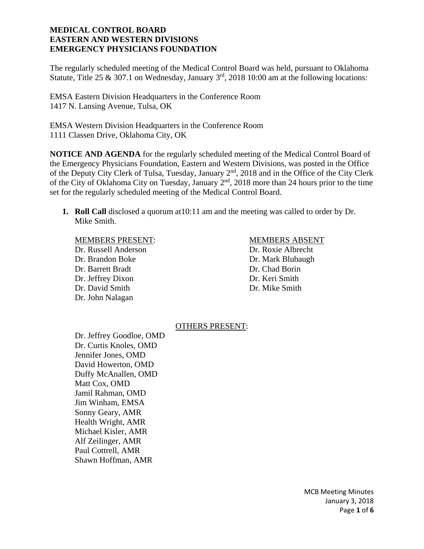The regularly scheduled meeting of the Medical Control Board was held, pursuant to Oklahoma Statute, Title 25 & 307.1 on Wednesday, January  $3<sup>rd</sup>$ , 2018 10:00 am at the following locations:

EMSA Eastern Division Headquarters in the Conference Room 1417 N. Lansing Avenue, Tulsa, OK

EMSA Western Division Headquarters in the Conference Room 1111 Classen Drive, Oklahoma City, OK

**NOTICE AND AGENDA** for the regularly scheduled meeting of the Medical Control Board of the Emergency Physicians Foundation, Eastern and Western Divisions, was posted in the Office of the Deputy City Clerk of Tulsa, Tuesday, January 2<sup>nd</sup>, 2018 and in the Office of the City Clerk of the City of Oklahoma City on Tuesday, January 2<sup>nd</sup>, 2018 more than 24 hours prior to the time set for the regularly scheduled meeting of the Medical Control Board.

**1. Roll Call** disclosed a quorum at10:11 am and the meeting was called to order by Dr. Mike Smith.

## MEMBERS PRESENT: MEMBERS ABSENT

 Dr. Russell Anderson Dr. Roxie Albrecht Dr. Brandon Boke Dr. Mark Blubaugh Dr. Barrett Bradt Dr. Chad Borin Dr. Jeffrey Dixon Dr. Keri Smith Dr. David Smith Dr. Mike Smith Dr. John Nalagan

## OTHERS PRESENT:

 Dr. Jeffrey Goodloe, OMD Dr. Curtis Knoles, OMD Jennifer Jones, OMD David Howerton, OMD Duffy McAnallen, OMD Matt Cox, OMD Jamil Rahman, OMD Jim Winham, EMSA Sonny Geary, AMR Health Wright, AMR Michael Kisler, AMR Alf Zeilinger, AMR Paul Cottrell, AMR Shawn Hoffman, AMR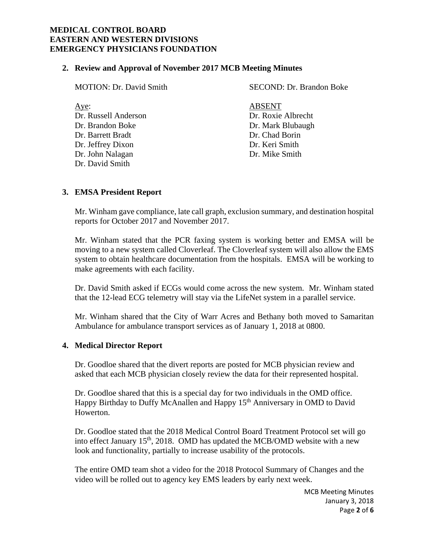## **2. Review and Approval of November 2017 MCB Meeting Minutes**

| <b>MOTION: Dr. David Smith</b> | SECOND: Dr. Brandon Boke |
|--------------------------------|--------------------------|
| Aye:                           | <b>ABSENT</b>            |
| Dr. Russell Anderson           | Dr. Roxie Albrecht       |
| Dr. Brandon Boke               | Dr. Mark Blubaugh        |
| Dr. Barrett Bradt              | Dr. Chad Borin           |
| Dr. Jeffrey Dixon              | Dr. Keri Smith           |
| Dr. John Nalagan               | Dr. Mike Smith           |
| Dr. David Smith                |                          |
|                                |                          |

# **3. EMSA President Report**

Mr. Winham gave compliance, late call graph, exclusion summary, and destination hospital reports for October 2017 and November 2017.

Mr. Winham stated that the PCR faxing system is working better and EMSA will be moving to a new system called Cloverleaf. The Cloverleaf system will also allow the EMS system to obtain healthcare documentation from the hospitals. EMSA will be working to make agreements with each facility.

Dr. David Smith asked if ECGs would come across the new system. Mr. Winham stated that the 12-lead ECG telemetry will stay via the LifeNet system in a parallel service.

Mr. Winham shared that the City of Warr Acres and Bethany both moved to Samaritan Ambulance for ambulance transport services as of January 1, 2018 at 0800.

# **4. Medical Director Report**

Dr. Goodloe shared that the divert reports are posted for MCB physician review and asked that each MCB physician closely review the data for their represented hospital.

Dr. Goodloe shared that this is a special day for two individuals in the OMD office. Happy Birthday to Duffy McAnallen and Happy 15<sup>th</sup> Anniversary in OMD to David Howerton.

Dr. Goodloe stated that the 2018 Medical Control Board Treatment Protocol set will go into effect January 15<sup>th</sup>, 2018. OMD has updated the MCB/OMD website with a new look and functionality, partially to increase usability of the protocols.

The entire OMD team shot a video for the 2018 Protocol Summary of Changes and the video will be rolled out to agency key EMS leaders by early next week.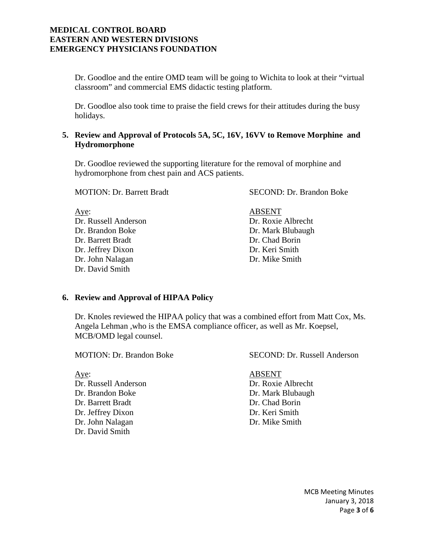Dr. Goodloe and the entire OMD team will be going to Wichita to look at their "virtual classroom" and commercial EMS didactic testing platform.

Dr. Goodloe also took time to praise the field crews for their attitudes during the busy holidays.

# **5. Review and Approval of Protocols 5A, 5C, 16V, 16VV to Remove Morphine and Hydromorphone**

Dr. Goodloe reviewed the supporting literature for the removal of morphine and hydromorphone from chest pain and ACS patients.

MOTION: Dr. Barrett Bradt SECOND: Dr. Brandon Boke

Aye: ABSENT Dr. Russell Anderson Dr. Roxie Albrecht Dr. Brandon Boke Dr. Mark Blubaugh Dr. Barrett Bradt Dr. Chad Borin Dr. Jeffrey Dixon Dr. Keri Smith Dr. John Nalagan Dr. Mike Smith Dr. David Smith

# **6. Review and Approval of HIPAA Policy**

Dr. Knoles reviewed the HIPAA policy that was a combined effort from Matt Cox, Ms. Angela Lehman ,who is the EMSA compliance officer, as well as Mr. Koepsel, MCB/OMD legal counsel.

Dr. David Smith

Aye: ABSENT Dr. Russell Anderson Dr. Roxie Albrecht Dr. Brandon Boke Dr. Mark Blubaugh Dr. Barrett Bradt Dr. Chad Borin Dr. Jeffrey Dixon Dr. Keri Smith

MOTION: Dr. Brandon Boke SECOND: Dr. Russell Anderson

Dr. John Nalagan Dr. Mike Smith

MCB Meeting Minutes January 3, 2018 Page **3** of **6**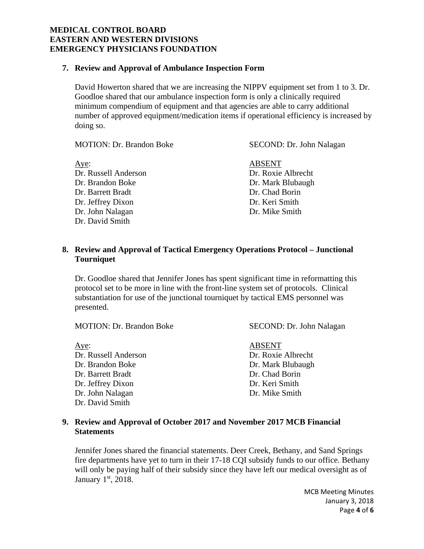## **7. Review and Approval of Ambulance Inspection Form**

David Howerton shared that we are increasing the NIPPV equipment set from 1 to 3. Dr. Goodloe shared that our ambulance inspection form is only a clinically required minimum compendium of equipment and that agencies are able to carry additional number of approved equipment/medication items if operational efficiency is increased by doing so.

MOTION: Dr. Brandon Boke SECOND: Dr. John Nalagan Aye: ABSENT Dr. Russell Anderson Dr. Roxie Albrecht Dr. Brandon Boke Dr. Mark Blubaugh Dr. Barrett Bradt Dr. Chad Borin Dr. Jeffrey Dixon Dr. Keri Smith Dr. John Nalagan Dr. Mike Smith Dr. David Smith

## **8. Review and Approval of Tactical Emergency Operations Protocol – Junctional Tourniquet**

Dr. Goodloe shared that Jennifer Jones has spent significant time in reformatting this protocol set to be more in line with the front-line system set of protocols. Clinical substantiation for use of the junctional tourniquet by tactical EMS personnel was presented.

MOTION: Dr. Brandon Boke SECOND: Dr. John Nalagan

Aye: ABSENT Dr. Russell Anderson Dr. Roxie Albrecht Dr. Brandon Boke Dr. Mark Blubaugh Dr. Barrett Bradt Dr. Chad Borin Dr. Jeffrey Dixon Dr. Keri Smith Dr. John Nalagan Dr. Mike Smith Dr. David Smith

# **9. Review and Approval of October 2017 and November 2017 MCB Financial Statements**

Jennifer Jones shared the financial statements. Deer Creek, Bethany, and Sand Springs fire departments have yet to turn in their 17-18 CQI subsidy funds to our office. Bethany will only be paying half of their subsidy since they have left our medical oversight as of January 1st, 2018.

> MCB Meeting Minutes January 3, 2018 Page **4** of **6**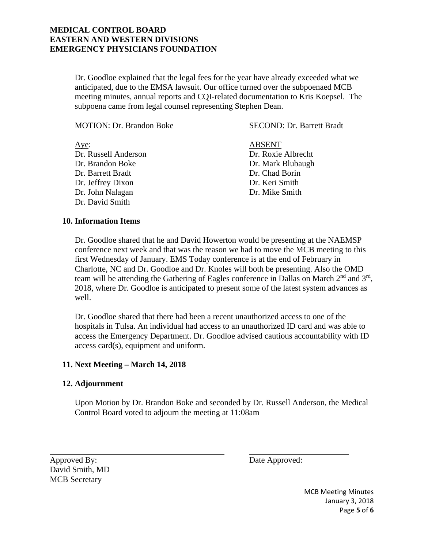Dr. Goodloe explained that the legal fees for the year have already exceeded what we anticipated, due to the EMSA lawsuit. Our office turned over the subpoenaed MCB meeting minutes, annual reports and CQI-related documentation to Kris Koepsel. The subpoena came from legal counsel representing Stephen Dean.

| <b>MOTION: Dr. Brandon Boke</b> | <b>SECOND: Dr. Barrett Bradt</b> |
|---------------------------------|----------------------------------|
| Aye:                            | <b>ABSENT</b>                    |
| Dr. Russell Anderson            | Dr. Roxie Albrecht               |
| Dr. Brandon Boke                | Dr. Mark Blubaugh                |
| Dr. Barrett Bradt               | Dr. Chad Borin                   |
| Dr. Jeffrey Dixon               | Dr. Keri Smith                   |
| Dr. John Nalagan                | Dr. Mike Smith                   |
| Dr. David Smith                 |                                  |

## **10. Information Items**

Dr. Goodloe shared that he and David Howerton would be presenting at the NAEMSP conference next week and that was the reason we had to move the MCB meeting to this first Wednesday of January. EMS Today conference is at the end of February in Charlotte, NC and Dr. Goodloe and Dr. Knoles will both be presenting. Also the OMD team will be attending the Gathering of Eagles conference in Dallas on March  $2<sup>nd</sup>$  and  $3<sup>rd</sup>$ , 2018, where Dr. Goodloe is anticipated to present some of the latest system advances as well.

Dr. Goodloe shared that there had been a recent unauthorized access to one of the hospitals in Tulsa. An individual had access to an unauthorized ID card and was able to access the Emergency Department. Dr. Goodloe advised cautious accountability with ID access card(s), equipment and uniform.

## **11. Next Meeting – March 14, 2018**

## **12. Adjournment**

Upon Motion by Dr. Brandon Boke and seconded by Dr. Russell Anderson, the Medical Control Board voted to adjourn the meeting at 11:08am

Approved By: Date Approved: David Smith, MD MCB Secretary

 $\overline{a}$ 

MCB Meeting Minutes January 3, 2018 Page **5** of **6**